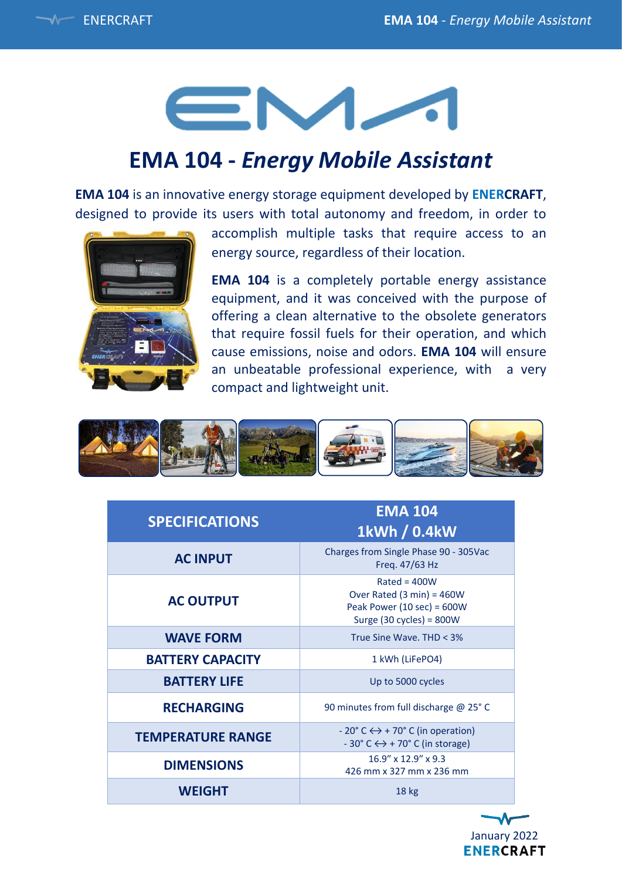

# EM-

### **EMA 104 -** *Energy Mobile Assistant*

**EMA 104** is an innovative energy storage equipment developed by **ENERCRAFT**, designed to provide its users with total autonomy and freedom, in order to



accomplish multiple tasks that require access to an energy source, regardless of their location.

**EMA 104** is a completely portable energy assistance equipment, and it was conceived with the purpose of offering a clean alternative to the obsolete generators that require fossil fuels for their operation, and which cause emissions, noise and odors. **EMA 104** will ensure an unbeatable professional experience, with a very compact and lightweight unit.



| <b>SPECIFICATIONS</b>    | <b>EMA 104</b><br>1kWh / 0.4kW                                                                                               |
|--------------------------|------------------------------------------------------------------------------------------------------------------------------|
| <b>AC INPUT</b>          | Charges from Single Phase 90 - 305Vac<br>Freq. 47/63 Hz                                                                      |
| <b>AC OUTPUT</b>         | $Rated = 400W$<br>Over Rated (3 min) = $460W$<br>Peak Power (10 sec) = $600W$<br>Surge (30 cycles) = $800W$                  |
| <b>WAVE FORM</b>         | True Sine Wave, THD < 3%                                                                                                     |
| <b>BATTERY CAPACITY</b>  | 1 kWh (LiFePO4)                                                                                                              |
| <b>BATTERY LIFE</b>      | Up to 5000 cycles                                                                                                            |
| <b>RECHARGING</b>        | 90 minutes from full discharge @ 25° C                                                                                       |
| <b>TEMPERATURE RANGE</b> | $-20^{\circ}$ C $\leftrightarrow$ + 70 $^{\circ}$ C (in operation)<br>$-30^{\circ}$ C $\leftrightarrow$ + 70° C (in storage) |
| <b>DIMENSIONS</b>        | $16.9'' \times 12.9'' \times 9.3$<br>426 mm x 327 mm x 236 mm                                                                |
| <b>WEIGHT</b>            | 18 <sub>kg</sub>                                                                                                             |